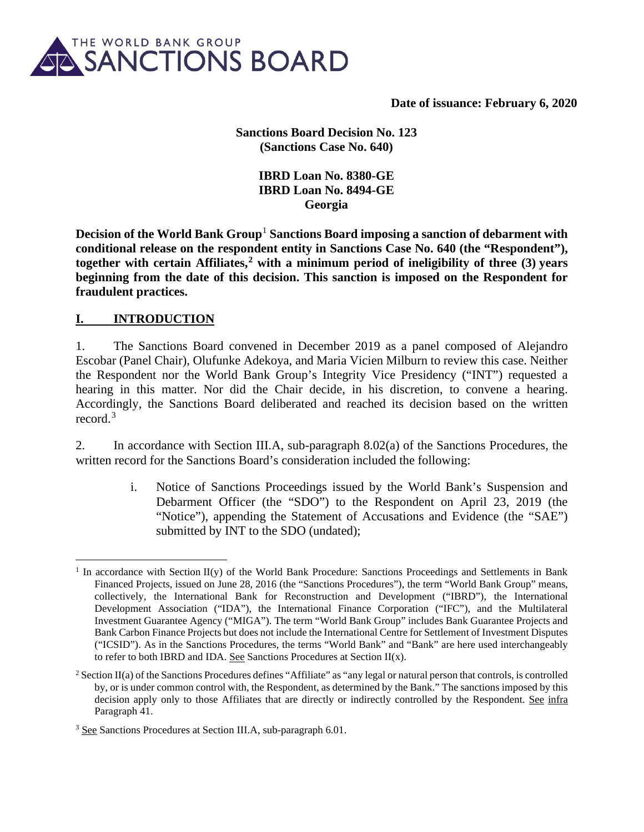

**Date of issuance: February 6, 2020**

**Sanctions Board Decision No. 123 (Sanctions Case No. 640)** 

> **IBRD Loan No. 8380-GE IBRD Loan No. 8494-GE Georgia**

**Decision of the World Bank Group<sup>[1](#page-0-0)</sup> Sanctions Board imposing a sanction of debarment with conditional release on the respondent entity in Sanctions Case No. 640 (the "Respondent"), together with certain Affiliates,[2](#page-0-1) with a minimum period of ineligibility of three (3) years beginning from the date of this decision. This sanction is imposed on the Respondent for fraudulent practices.**

### **I. INTRODUCTION**

1. The Sanctions Board convened in December 2019 as a panel composed of Alejandro Escobar (Panel Chair), Olufunke Adekoya, and Maria Vicien Milburn to review this case. Neither the Respondent nor the World Bank Group's Integrity Vice Presidency ("INT") requested a hearing in this matter. Nor did the Chair decide, in his discretion, to convene a hearing. Accordingly, the Sanctions Board deliberated and reached its decision based on the written record.[3](#page-0-2)

2. In accordance with Section III.A, sub-paragraph 8.02(a) of the Sanctions Procedures, the written record for the Sanctions Board's consideration included the following:

> i. Notice of Sanctions Proceedings issued by the World Bank's Suspension and Debarment Officer (the "SDO") to the Respondent on April 23, 2019 (the "Notice"), appending the Statement of Accusations and Evidence (the "SAE") submitted by INT to the SDO (undated);

<span id="page-0-0"></span><sup>&</sup>lt;sup>1</sup> In accordance with Section II(y) of the World Bank Procedure: Sanctions Proceedings and Settlements in Bank Financed Projects, issued on June 28, 2016 (the "Sanctions Procedures"), the term "World Bank Group" means, collectively, the International Bank for Reconstruction and Development ("IBRD"), the International Development Association ("IDA"), the International Finance Corporation ("IFC"), and the Multilateral Investment Guarantee Agency ("MIGA"). The term "World Bank Group" includes Bank Guarantee Projects and Bank Carbon Finance Projects but does not include the International Centre for Settlement of Investment Disputes ("ICSID"). As in the Sanctions Procedures, the terms "World Bank" and "Bank" are here used interchangeably to refer to both IBRD and IDA. See Sanctions Procedures at Section  $II(x)$ .

<span id="page-0-1"></span> $2$  Section II(a) of the Sanctions Procedures defines "Affiliate" as "any legal or natural person that controls, is controlled by, or is under common control with, the Respondent, as determined by the Bank." The sanctions imposed by this decision apply only to those Affiliates that are directly or indirectly controlled by the Respondent. See infra Paragraph 41.

<span id="page-0-2"></span><sup>3</sup> See Sanctions Procedures at Section III.A, sub-paragraph 6.01.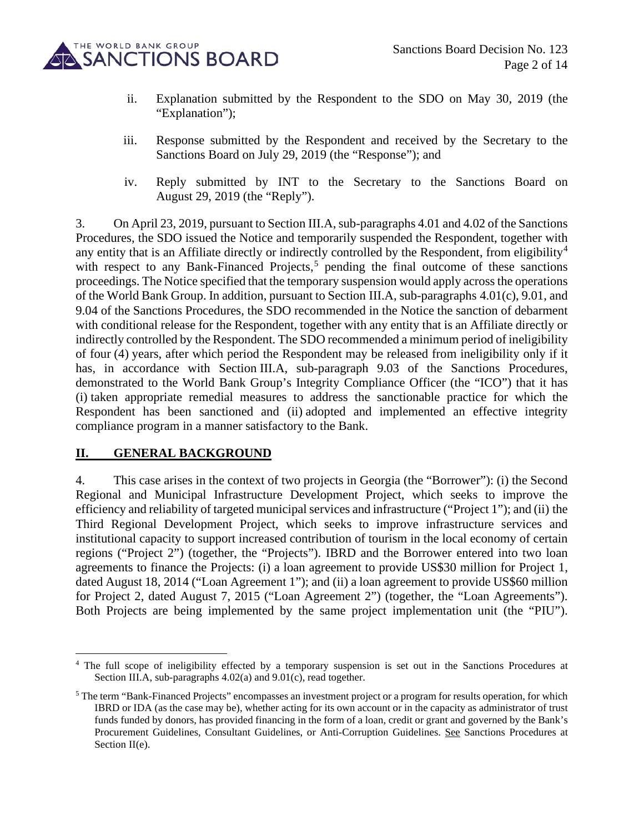

- ii. Explanation submitted by the Respondent to the SDO on May 30, 2019 (the "Explanation":
- iii. Response submitted by the Respondent and received by the Secretary to the Sanctions Board on July 29, 2019 (the "Response"); and
- iv. Reply submitted by INT to the Secretary to the Sanctions Board on August 29, 2019 (the "Reply").

3. On April 23, 2019, pursuant to Section III.A, sub-paragraphs 4.01 and 4.02 of the Sanctions Procedures, the SDO issued the Notice and temporarily suspended the Respondent, together with any entity that is an Affiliate directly or indirectly controlled by the Respondent, from eligibility<sup>[4](#page-1-0)</sup> with respect to any Bank-Financed Projects,<sup>[5](#page-1-1)</sup> pending the final outcome of these sanctions proceedings. The Notice specified that the temporary suspension would apply across the operations of the World Bank Group. In addition, pursuant to Section III.A, sub-paragraphs 4.01(c), 9.01, and 9.04 of the Sanctions Procedures, the SDO recommended in the Notice the sanction of debarment with conditional release for the Respondent, together with any entity that is an Affiliate directly or indirectly controlled by the Respondent. The SDO recommended a minimum period of ineligibility of four (4) years, after which period the Respondent may be released from ineligibility only if it has, in accordance with Section III.A, sub-paragraph 9.03 of the Sanctions Procedures, demonstrated to the World Bank Group's Integrity Compliance Officer (the "ICO") that it has (i) taken appropriate remedial measures to address the sanctionable practice for which the Respondent has been sanctioned and (ii) adopted and implemented an effective integrity compliance program in a manner satisfactory to the Bank.

### **II. GENERAL BACKGROUND**

4. This case arises in the context of two projects in Georgia (the "Borrower"): (i) the Second Regional and Municipal Infrastructure Development Project, which seeks to improve the efficiency and reliability of targeted municipal services and infrastructure ("Project 1"); and (ii) the Third Regional Development Project, which seeks to improve infrastructure services and institutional capacity to support increased contribution of tourism in the local economy of certain regions ("Project 2") (together, the "Projects"). IBRD and the Borrower entered into two loan agreements to finance the Projects: (i) a loan agreement to provide US\$30 million for Project 1, dated August 18, 2014 ("Loan Agreement 1"); and (ii) a loan agreement to provide US\$60 million for Project 2, dated August 7, 2015 ("Loan Agreement 2") (together, the "Loan Agreements"). Both Projects are being implemented by the same project implementation unit (the "PIU").

<span id="page-1-0"></span><sup>&</sup>lt;sup>4</sup> The full scope of ineligibility effected by a temporary suspension is set out in the Sanctions Procedures at Section III.A, sub-paragraphs  $4.02(a)$  and  $9.01(c)$ , read together.

<span id="page-1-1"></span><sup>&</sup>lt;sup>5</sup> The term "Bank-Financed Projects" encompasses an investment project or a program for results operation, for which IBRD or IDA (as the case may be), whether acting for its own account or in the capacity as administrator of trust funds funded by donors, has provided financing in the form of a loan, credit or grant and governed by the Bank's Procurement Guidelines, Consultant Guidelines, or Anti-Corruption Guidelines. See Sanctions Procedures at Section II(e).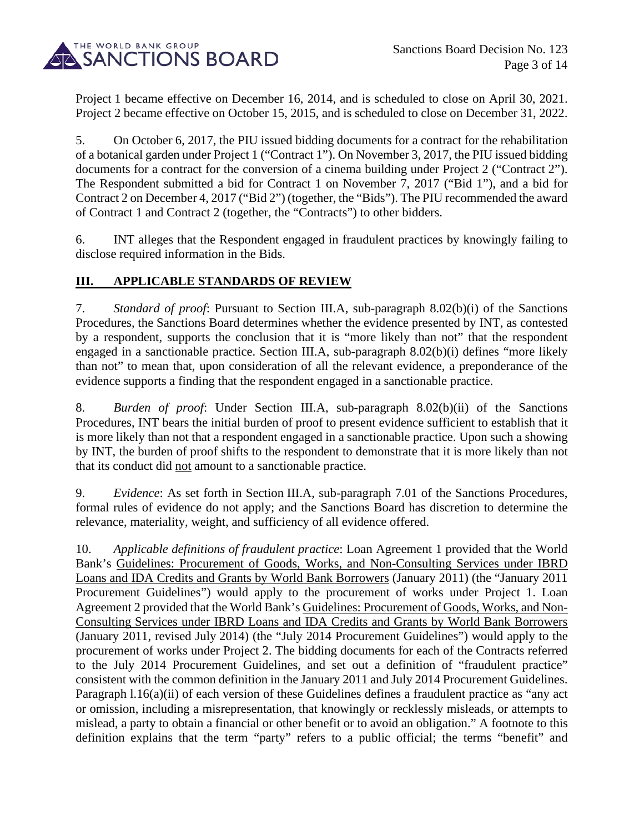

Project 1 became effective on December 16, 2014, and is scheduled to close on April 30, 2021. Project 2 became effective on October 15, 2015, and is scheduled to close on December 31, 2022.

5. On October 6, 2017, the PIU issued bidding documents for a contract for the rehabilitation of a botanical garden under Project 1 ("Contract 1"). On November 3, 2017, the PIU issued bidding documents for a contract for the conversion of a cinema building under Project 2 ("Contract 2"). The Respondent submitted a bid for Contract 1 on November 7, 2017 ("Bid 1"), and a bid for Contract 2 on December 4, 2017 ("Bid 2") (together, the "Bids"). The PIU recommended the award of Contract 1 and Contract 2 (together, the "Contracts") to other bidders.

6. INT alleges that the Respondent engaged in fraudulent practices by knowingly failing to disclose required information in the Bids.

## **III. APPLICABLE STANDARDS OF REVIEW**

7. *Standard of proof*: Pursuant to Section III.A, sub-paragraph 8.02(b)(i) of the Sanctions Procedures, the Sanctions Board determines whether the evidence presented by INT, as contested by a respondent, supports the conclusion that it is "more likely than not" that the respondent engaged in a sanctionable practice. Section III.A, sub-paragraph 8.02(b)(i) defines "more likely than not" to mean that, upon consideration of all the relevant evidence, a preponderance of the evidence supports a finding that the respondent engaged in a sanctionable practice.

8. *Burden of proof*: Under Section III.A, sub-paragraph 8.02(b)(ii) of the Sanctions Procedures, INT bears the initial burden of proof to present evidence sufficient to establish that it is more likely than not that a respondent engaged in a sanctionable practice. Upon such a showing by INT, the burden of proof shifts to the respondent to demonstrate that it is more likely than not that its conduct did not amount to a sanctionable practice.

9. *Evidence*: As set forth in Section III.A, sub-paragraph 7.01 of the Sanctions Procedures, formal rules of evidence do not apply; and the Sanctions Board has discretion to determine the relevance, materiality, weight, and sufficiency of all evidence offered.

10. *Applicable definitions of fraudulent practice*: Loan Agreement 1 provided that the World Bank's Guidelines: Procurement of Goods, Works, and Non-Consulting Services under IBRD Loans and IDA Credits and Grants by World Bank Borrowers (January 2011) (the "January 2011 Procurement Guidelines") would apply to the procurement of works under Project 1. Loan Agreement 2 provided that the World Bank's Guidelines: Procurement of Goods, Works, and Non-Consulting Services under IBRD Loans and IDA Credits and Grants by World Bank Borrowers (January 2011, revised July 2014) (the "July 2014 Procurement Guidelines") would apply to the procurement of works under Project 2. The bidding documents for each of the Contracts referred to the July 2014 Procurement Guidelines, and set out a definition of "fraudulent practice" consistent with the common definition in the January 2011 and July 2014 Procurement Guidelines. Paragraph l.16(a)(ii) of each version of these Guidelines defines a fraudulent practice as "any act or omission, including a misrepresentation, that knowingly or recklessly misleads, or attempts to mislead, a party to obtain a financial or other benefit or to avoid an obligation." A footnote to this definition explains that the term "party" refers to a public official; the terms "benefit" and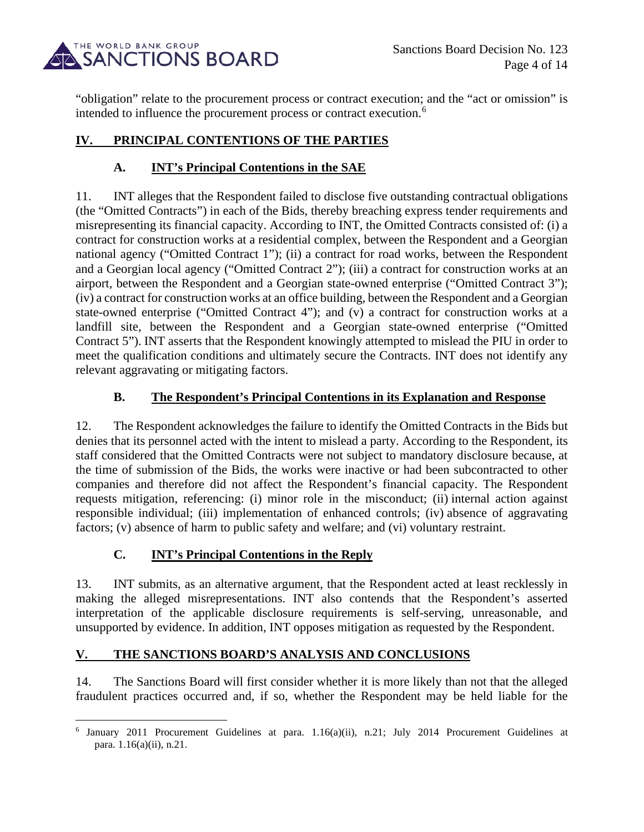

"obligation" relate to the procurement process or contract execution; and the "act or omission" is intended to influence the procurement process or contract execution.<sup>[6](#page-3-0)</sup>

# **IV. PRINCIPAL CONTENTIONS OF THE PARTIES**

## **A. INT's Principal Contentions in the SAE**

11. INT alleges that the Respondent failed to disclose five outstanding contractual obligations (the "Omitted Contracts") in each of the Bids, thereby breaching express tender requirements and misrepresenting its financial capacity. According to INT, the Omitted Contracts consisted of: (i) a contract for construction works at a residential complex, between the Respondent and a Georgian national agency ("Omitted Contract 1"); (ii) a contract for road works, between the Respondent and a Georgian local agency ("Omitted Contract 2"); (iii) a contract for construction works at an airport, between the Respondent and a Georgian state-owned enterprise ("Omitted Contract 3"); (iv) a contract for construction works at an office building, between the Respondent and a Georgian state-owned enterprise ("Omitted Contract 4"); and (v) a contract for construction works at a landfill site, between the Respondent and a Georgian state-owned enterprise ("Omitted Contract 5"). INT asserts that the Respondent knowingly attempted to mislead the PIU in order to meet the qualification conditions and ultimately secure the Contracts. INT does not identify any relevant aggravating or mitigating factors.

## **B. The Respondent's Principal Contentions in its Explanation and Response**

12. The Respondent acknowledges the failure to identify the Omitted Contracts in the Bids but denies that its personnel acted with the intent to mislead a party. According to the Respondent, its staff considered that the Omitted Contracts were not subject to mandatory disclosure because, at the time of submission of the Bids, the works were inactive or had been subcontracted to other companies and therefore did not affect the Respondent's financial capacity. The Respondent requests mitigation, referencing: (i) minor role in the misconduct; (ii) internal action against responsible individual; (iii) implementation of enhanced controls; (iv) absence of aggravating factors; (v) absence of harm to public safety and welfare; and (vi) voluntary restraint.

# **C. INT's Principal Contentions in the Reply**

13. INT submits, as an alternative argument, that the Respondent acted at least recklessly in making the alleged misrepresentations. INT also contends that the Respondent's asserted interpretation of the applicable disclosure requirements is self-serving, unreasonable, and unsupported by evidence. In addition, INT opposes mitigation as requested by the Respondent.

### **V. THE SANCTIONS BOARD'S ANALYSIS AND CONCLUSIONS**

14. The Sanctions Board will first consider whether it is more likely than not that the alleged fraudulent practices occurred and, if so, whether the Respondent may be held liable for the

<span id="page-3-0"></span><sup>6</sup> January 2011 Procurement Guidelines at para. 1.16(a)(ii), n.21; July 2014 Procurement Guidelines at para. 1.16(a)(ii), n.21.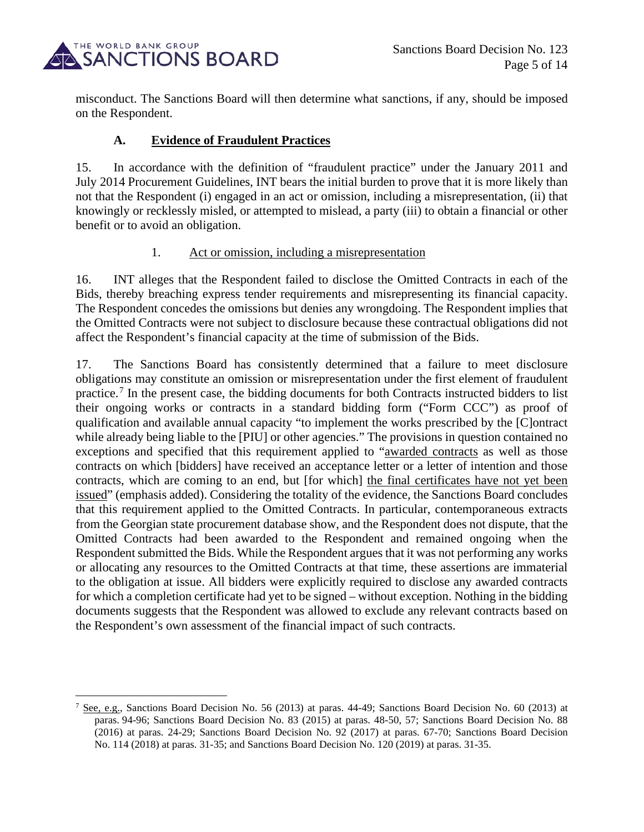

misconduct. The Sanctions Board will then determine what sanctions, if any, should be imposed on the Respondent.

#### **A. Evidence of Fraudulent Practices**

15. In accordance with the definition of "fraudulent practice" under the January 2011 and July 2014 Procurement Guidelines, INT bears the initial burden to prove that it is more likely than not that the Respondent (i) engaged in an act or omission, including a misrepresentation, (ii) that knowingly or recklessly misled, or attempted to mislead, a party (iii) to obtain a financial or other benefit or to avoid an obligation.

#### 1. Act or omission, including a misrepresentation

16. INT alleges that the Respondent failed to disclose the Omitted Contracts in each of the Bids, thereby breaching express tender requirements and misrepresenting its financial capacity. The Respondent concedes the omissions but denies any wrongdoing. The Respondent implies that the Omitted Contracts were not subject to disclosure because these contractual obligations did not affect the Respondent's financial capacity at the time of submission of the Bids.

17. The Sanctions Board has consistently determined that a failure to meet disclosure obligations may constitute an omission or misrepresentation under the first element of fraudulent practice.[7](#page-4-0) In the present case, the bidding documents for both Contracts instructed bidders to list their ongoing works or contracts in a standard bidding form ("Form CCC") as proof of qualification and available annual capacity "to implement the works prescribed by the [C]ontract while already being liable to the [PIU] or other agencies." The provisions in question contained no exceptions and specified that this requirement applied to "awarded contracts as well as those contracts on which [bidders] have received an acceptance letter or a letter of intention and those contracts, which are coming to an end, but [for which] the final certificates have not yet been issued" (emphasis added). Considering the totality of the evidence, the Sanctions Board concludes that this requirement applied to the Omitted Contracts. In particular, contemporaneous extracts from the Georgian state procurement database show, and the Respondent does not dispute, that the Omitted Contracts had been awarded to the Respondent and remained ongoing when the Respondent submitted the Bids. While the Respondent argues that it was not performing any works or allocating any resources to the Omitted Contracts at that time, these assertions are immaterial to the obligation at issue. All bidders were explicitly required to disclose any awarded contracts for which a completion certificate had yet to be signed – without exception. Nothing in the bidding documents suggests that the Respondent was allowed to exclude any relevant contracts based on the Respondent's own assessment of the financial impact of such contracts.

<span id="page-4-0"></span><sup>&</sup>lt;sup>7</sup> See, e.g., Sanctions Board Decision No. 56 (2013) at paras.  $44-49$ ; Sanctions Board Decision No. 60 (2013) at paras. 94-96; Sanctions Board Decision No. 83 (2015) at paras. 48-50, 57; Sanctions Board Decision No. 88 (2016) at paras. 24-29; Sanctions Board Decision No. 92 (2017) at paras. 67-70; Sanctions Board Decision No. 114 (2018) at paras. 31-35; and Sanctions Board Decision No. 120 (2019) at paras. 31-35.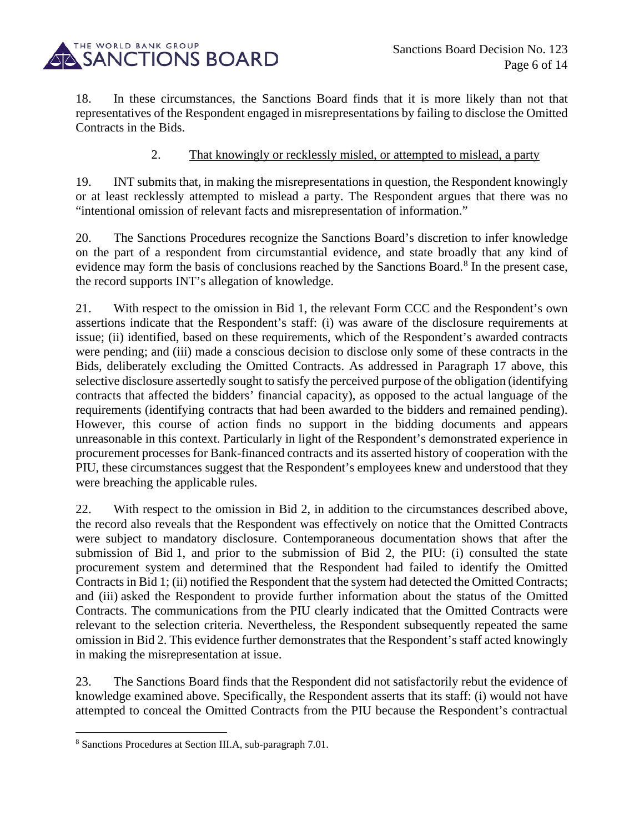

18. In these circumstances, the Sanctions Board finds that it is more likely than not that representatives of the Respondent engaged in misrepresentations by failing to disclose the Omitted Contracts in the Bids.

### 2. That knowingly or recklessly misled, or attempted to mislead, a party

19. INT submits that, in making the misrepresentations in question, the Respondent knowingly or at least recklessly attempted to mislead a party. The Respondent argues that there was no "intentional omission of relevant facts and misrepresentation of information."

20. The Sanctions Procedures recognize the Sanctions Board's discretion to infer knowledge on the part of a respondent from circumstantial evidence, and state broadly that any kind of evidence may form the basis of conclusions reached by the Sanctions Board.<sup>[8](#page-5-0)</sup> In the present case, the record supports INT's allegation of knowledge.

21. With respect to the omission in Bid 1, the relevant Form CCC and the Respondent's own assertions indicate that the Respondent's staff: (i) was aware of the disclosure requirements at issue; (ii) identified, based on these requirements, which of the Respondent's awarded contracts were pending; and (iii) made a conscious decision to disclose only some of these contracts in the Bids, deliberately excluding the Omitted Contracts. As addressed in Paragraph 17 above, this selective disclosure assertedly sought to satisfy the perceived purpose of the obligation (identifying contracts that affected the bidders' financial capacity), as opposed to the actual language of the requirements (identifying contracts that had been awarded to the bidders and remained pending). However, this course of action finds no support in the bidding documents and appears unreasonable in this context. Particularly in light of the Respondent's demonstrated experience in procurement processes for Bank-financed contracts and its asserted history of cooperation with the PIU, these circumstances suggest that the Respondent's employees knew and understood that they were breaching the applicable rules.

22. With respect to the omission in Bid 2, in addition to the circumstances described above, the record also reveals that the Respondent was effectively on notice that the Omitted Contracts were subject to mandatory disclosure. Contemporaneous documentation shows that after the submission of Bid 1, and prior to the submission of Bid 2, the PIU: (i) consulted the state procurement system and determined that the Respondent had failed to identify the Omitted Contracts in Bid 1; (ii) notified the Respondent that the system had detected the Omitted Contracts; and (iii) asked the Respondent to provide further information about the status of the Omitted Contracts. The communications from the PIU clearly indicated that the Omitted Contracts were relevant to the selection criteria. Nevertheless, the Respondent subsequently repeated the same omission in Bid 2. This evidence further demonstrates that the Respondent's staff acted knowingly in making the misrepresentation at issue.

23. The Sanctions Board finds that the Respondent did not satisfactorily rebut the evidence of knowledge examined above. Specifically, the Respondent asserts that its staff: (i) would not have attempted to conceal the Omitted Contracts from the PIU because the Respondent's contractual

<span id="page-5-0"></span><sup>8</sup> Sanctions Procedures at Section III.A, sub-paragraph 7.01.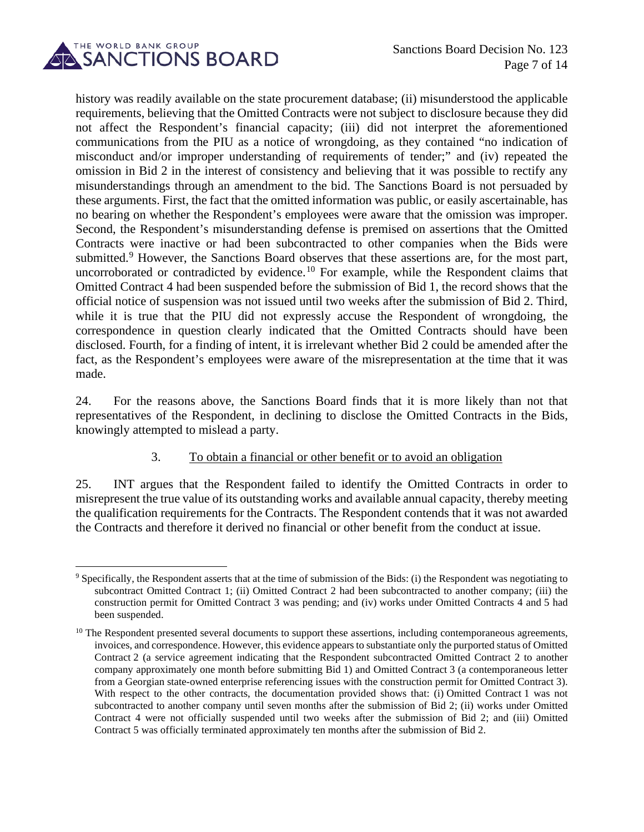

history was readily available on the state procurement database; (ii) misunderstood the applicable requirements, believing that the Omitted Contracts were not subject to disclosure because they did not affect the Respondent's financial capacity; (iii) did not interpret the aforementioned communications from the PIU as a notice of wrongdoing, as they contained "no indication of misconduct and/or improper understanding of requirements of tender;" and (iv) repeated the omission in Bid 2 in the interest of consistency and believing that it was possible to rectify any misunderstandings through an amendment to the bid. The Sanctions Board is not persuaded by these arguments. First, the fact that the omitted information was public, or easily ascertainable, has no bearing on whether the Respondent's employees were aware that the omission was improper. Second, the Respondent's misunderstanding defense is premised on assertions that the Omitted Contracts were inactive or had been subcontracted to other companies when the Bids were submitted.<sup>[9](#page-6-0)</sup> However, the Sanctions Board observes that these assertions are, for the most part, uncorroborated or contradicted by evidence.<sup>[10](#page-6-1)</sup> For example, while the Respondent claims that Omitted Contract 4 had been suspended before the submission of Bid 1, the record shows that the official notice of suspension was not issued until two weeks after the submission of Bid 2. Third, while it is true that the PIU did not expressly accuse the Respondent of wrongdoing, the correspondence in question clearly indicated that the Omitted Contracts should have been disclosed. Fourth, for a finding of intent, it is irrelevant whether Bid 2 could be amended after the fact, as the Respondent's employees were aware of the misrepresentation at the time that it was made.

24. For the reasons above, the Sanctions Board finds that it is more likely than not that representatives of the Respondent, in declining to disclose the Omitted Contracts in the Bids, knowingly attempted to mislead a party.

#### 3. To obtain a financial or other benefit or to avoid an obligation

25. INT argues that the Respondent failed to identify the Omitted Contracts in order to misrepresent the true value of its outstanding works and available annual capacity, thereby meeting the qualification requirements for the Contracts. The Respondent contends that it was not awarded the Contracts and therefore it derived no financial or other benefit from the conduct at issue.

<span id="page-6-0"></span><sup>&</sup>lt;sup>9</sup> Specifically, the Respondent asserts that at the time of submission of the Bids: (i) the Respondent was negotiating to subcontract Omitted Contract 1; (ii) Omitted Contract 2 had been subcontracted to another company; (iii) the construction permit for Omitted Contract 3 was pending; and (iv) works under Omitted Contracts 4 and 5 had been suspended.

<span id="page-6-1"></span><sup>&</sup>lt;sup>10</sup> The Respondent presented several documents to support these assertions, including contemporaneous agreements, invoices, and correspondence. However, this evidence appears to substantiate only the purported status of Omitted Contract 2 (a service agreement indicating that the Respondent subcontracted Omitted Contract 2 to another company approximately one month before submitting Bid 1) and Omitted Contract 3 (a contemporaneous letter from a Georgian state-owned enterprise referencing issues with the construction permit for Omitted Contract 3). With respect to the other contracts, the documentation provided shows that: (i) Omitted Contract 1 was not subcontracted to another company until seven months after the submission of Bid 2; (ii) works under Omitted Contract 4 were not officially suspended until two weeks after the submission of Bid 2; and (iii) Omitted Contract 5 was officially terminated approximately ten months after the submission of Bid 2.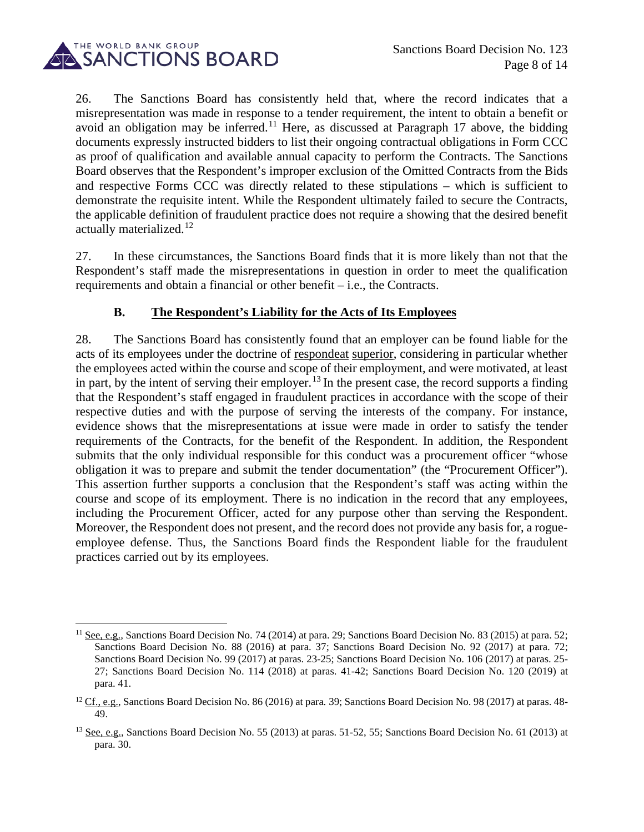

26. The Sanctions Board has consistently held that, where the record indicates that a misrepresentation was made in response to a tender requirement, the intent to obtain a benefit or avoid an obligation may be inferred.<sup>[11](#page-7-0)</sup> Here, as discussed at Paragraph 17 above, the bidding documents expressly instructed bidders to list their ongoing contractual obligations in Form CCC as proof of qualification and available annual capacity to perform the Contracts. The Sanctions Board observes that the Respondent's improper exclusion of the Omitted Contracts from the Bids and respective Forms CCC was directly related to these stipulations – which is sufficient to demonstrate the requisite intent. While the Respondent ultimately failed to secure the Contracts, the applicable definition of fraudulent practice does not require a showing that the desired benefit actually materialized.<sup>[12](#page-7-1)</sup>

27. In these circumstances, the Sanctions Board finds that it is more likely than not that the Respondent's staff made the misrepresentations in question in order to meet the qualification requirements and obtain a financial or other benefit – i.e., the Contracts.

### **B. The Respondent's Liability for the Acts of Its Employees**

28. The Sanctions Board has consistently found that an employer can be found liable for the acts of its employees under the doctrine of respondeat superior, considering in particular whether the employees acted within the course and scope of their employment, and were motivated, at least in part, by the intent of serving their employer.<sup>[13](#page-7-2)</sup> In the present case, the record supports a finding that the Respondent's staff engaged in fraudulent practices in accordance with the scope of their respective duties and with the purpose of serving the interests of the company. For instance, evidence shows that the misrepresentations at issue were made in order to satisfy the tender requirements of the Contracts, for the benefit of the Respondent. In addition, the Respondent submits that the only individual responsible for this conduct was a procurement officer "whose obligation it was to prepare and submit the tender documentation" (the "Procurement Officer"). This assertion further supports a conclusion that the Respondent's staff was acting within the course and scope of its employment. There is no indication in the record that any employees, including the Procurement Officer, acted for any purpose other than serving the Respondent. Moreover, the Respondent does not present, and the record does not provide any basis for, a rogueemployee defense. Thus, the Sanctions Board finds the Respondent liable for the fraudulent practices carried out by its employees.

<span id="page-7-0"></span><sup>&</sup>lt;sup>11</sup> See, e.g., Sanctions Board Decision No. 74 (2014) at para. 29; Sanctions Board Decision No. 83 (2015) at para. 52; Sanctions Board Decision No. 88 (2016) at para. 37; Sanctions Board Decision No. 92 (2017) at para. 72; Sanctions Board Decision No. 99 (2017) at paras. 23-25; Sanctions Board Decision No. 106 (2017) at paras. 25- 27; Sanctions Board Decision No. 114 (2018) at paras. 41-42; Sanctions Board Decision No. 120 (2019) at para. 41.

<span id="page-7-1"></span><sup>&</sup>lt;sup>12</sup> Cf., e.g., Sanctions Board Decision No. 86 (2016) at para. 39; Sanctions Board Decision No. 98 (2017) at paras. 48-49.

<span id="page-7-2"></span><sup>&</sup>lt;sup>13</sup> See, e.g., Sanctions Board Decision No. 55 (2013) at paras. 51-52, 55; Sanctions Board Decision No. 61 (2013) at para. 30.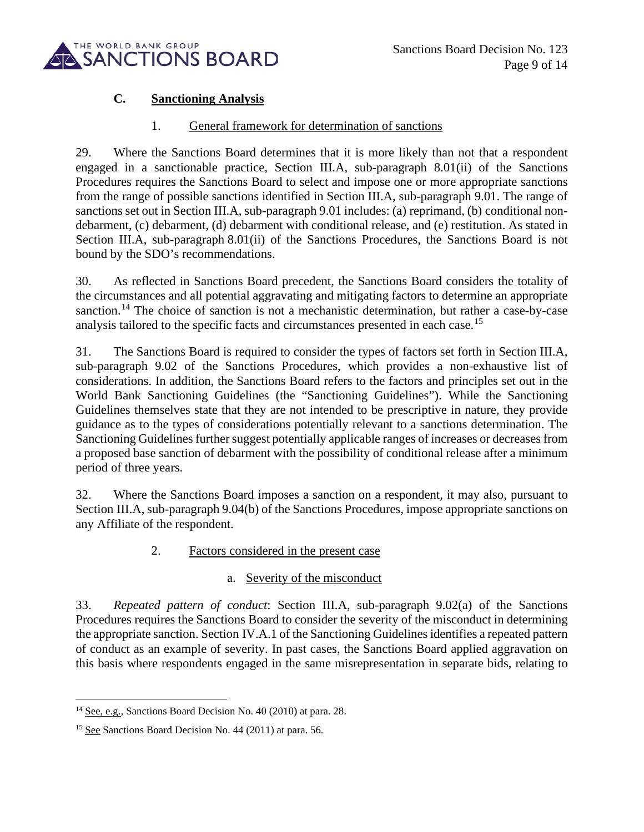

# **C. Sanctioning Analysis**

#### 1. General framework for determination of sanctions

29. Where the Sanctions Board determines that it is more likely than not that a respondent engaged in a sanctionable practice, Section III.A, sub-paragraph 8.01(ii) of the Sanctions Procedures requires the Sanctions Board to select and impose one or more appropriate sanctions from the range of possible sanctions identified in Section III.A, sub-paragraph 9.01. The range of sanctions set out in Section III.A, sub-paragraph 9.01 includes: (a) reprimand, (b) conditional nondebarment, (c) debarment, (d) debarment with conditional release, and (e) restitution. As stated in Section III.A, sub-paragraph 8.01(ii) of the Sanctions Procedures, the Sanctions Board is not bound by the SDO's recommendations.

30. As reflected in Sanctions Board precedent, the Sanctions Board considers the totality of the circumstances and all potential aggravating and mitigating factors to determine an appropriate sanction.<sup>[14](#page-8-0)</sup> The choice of sanction is not a mechanistic determination, but rather a case-by-case analysis tailored to the specific facts and circumstances presented in each case.<sup>[15](#page-8-1)</sup>

31. The Sanctions Board is required to consider the types of factors set forth in Section III.A, sub-paragraph 9.02 of the Sanctions Procedures, which provides a non-exhaustive list of considerations. In addition, the Sanctions Board refers to the factors and principles set out in the World Bank Sanctioning Guidelines (the "Sanctioning Guidelines"). While the Sanctioning Guidelines themselves state that they are not intended to be prescriptive in nature, they provide guidance as to the types of considerations potentially relevant to a sanctions determination. The Sanctioning Guidelines further suggest potentially applicable ranges of increases or decreases from a proposed base sanction of debarment with the possibility of conditional release after a minimum period of three years.

32. Where the Sanctions Board imposes a sanction on a respondent, it may also, pursuant to Section III.A, sub-paragraph 9.04(b) of the Sanctions Procedures, impose appropriate sanctions on any Affiliate of the respondent.

### 2. Factors considered in the present case

### a. Severity of the misconduct

33. *Repeated pattern of conduct*: Section III.A, sub-paragraph 9.02(a) of the Sanctions Procedures requires the Sanctions Board to consider the severity of the misconduct in determining the appropriate sanction. Section IV.A.1 of the Sanctioning Guidelines identifies a repeated pattern of conduct as an example of severity. In past cases, the Sanctions Board applied aggravation on this basis where respondents engaged in the same misrepresentation in separate bids, relating to

<span id="page-8-0"></span><sup>&</sup>lt;sup>14</sup> See, e.g., Sanctions Board Decision No. 40 (2010) at para. 28.

<span id="page-8-1"></span><sup>&</sup>lt;sup>15</sup> See Sanctions Board Decision No. 44 (2011) at para. 56.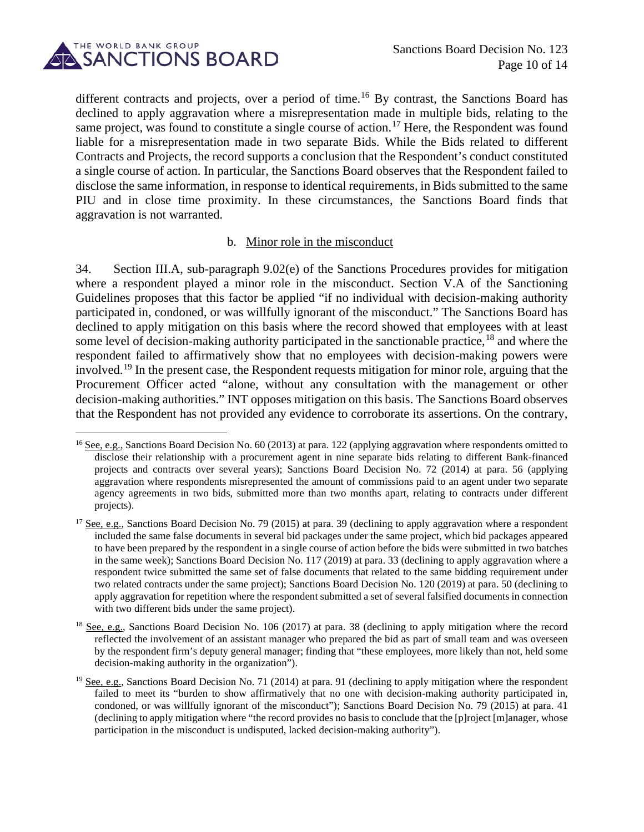

different contracts and projects, over a period of time.<sup>[16](#page-9-0)</sup> By contrast, the Sanctions Board has declined to apply aggravation where a misrepresentation made in multiple bids, relating to the same project, was found to constitute a single course of action.<sup>[17](#page-9-1)</sup> Here, the Respondent was found liable for a misrepresentation made in two separate Bids. While the Bids related to different Contracts and Projects, the record supports a conclusion that the Respondent's conduct constituted a single course of action. In particular, the Sanctions Board observes that the Respondent failed to disclose the same information, in response to identical requirements, in Bids submitted to the same PIU and in close time proximity. In these circumstances, the Sanctions Board finds that aggravation is not warranted.

#### b. Minor role in the misconduct

34. Section III.A, sub-paragraph 9.02(e) of the Sanctions Procedures provides for mitigation where a respondent played a minor role in the misconduct. Section V.A of the Sanctioning Guidelines proposes that this factor be applied "if no individual with decision-making authority participated in, condoned, or was willfully ignorant of the misconduct." The Sanctions Board has declined to apply mitigation on this basis where the record showed that employees with at least some level of decision-making authority participated in the sanctionable practice,<sup>[18](#page-9-2)</sup> and where the respondent failed to affirmatively show that no employees with decision-making powers were involved.[19](#page-9-3) In the present case, the Respondent requests mitigation for minor role, arguing that the Procurement Officer acted "alone, without any consultation with the management or other decision-making authorities." INT opposes mitigation on this basis. The Sanctions Board observes that the Respondent has not provided any evidence to corroborate its assertions. On the contrary,

<span id="page-9-0"></span> $16$  See, e.g., Sanctions Board Decision No. 60 (2013) at para. 122 (applying aggravation where respondents omitted to disclose their relationship with a procurement agent in nine separate bids relating to different Bank-financed projects and contracts over several years); Sanctions Board Decision No. 72 (2014) at para. 56 (applying aggravation where respondents misrepresented the amount of commissions paid to an agent under two separate agency agreements in two bids, submitted more than two months apart, relating to contracts under different projects).

<span id="page-9-1"></span><sup>&</sup>lt;sup>17</sup> See, e.g., Sanctions Board Decision No. 79 (2015) at para. 39 (declining to apply aggravation where a respondent included the same false documents in several bid packages under the same project, which bid packages appeared to have been prepared by the respondent in a single course of action before the bids were submitted in two batches in the same week); Sanctions Board Decision No. 117 (2019) at para. 33 (declining to apply aggravation where a respondent twice submitted the same set of false documents that related to the same bidding requirement under two related contracts under the same project); Sanctions Board Decision No. 120 (2019) at para. 50 (declining to apply aggravation for repetition where the respondent submitted a set of several falsified documents in connection with two different bids under the same project).

<span id="page-9-2"></span><sup>&</sup>lt;sup>18</sup> See, e.g., Sanctions Board Decision No. 106 (2017) at para. 38 (declining to apply mitigation where the record reflected the involvement of an assistant manager who prepared the bid as part of small team and was overseen by the respondent firm's deputy general manager; finding that "these employees, more likely than not, held some decision-making authority in the organization").

<span id="page-9-3"></span><sup>&</sup>lt;sup>19</sup> See, e.g., Sanctions Board Decision No. 71 (2014) at para. 91 (declining to apply mitigation where the respondent failed to meet its "burden to show affirmatively that no one with decision-making authority participated in, condoned, or was willfully ignorant of the misconduct"); Sanctions Board Decision No. 79 (2015) at para. 41 (declining to apply mitigation where "the record provides no basis to conclude that the [p]roject [m]anager, whose participation in the misconduct is undisputed, lacked decision-making authority").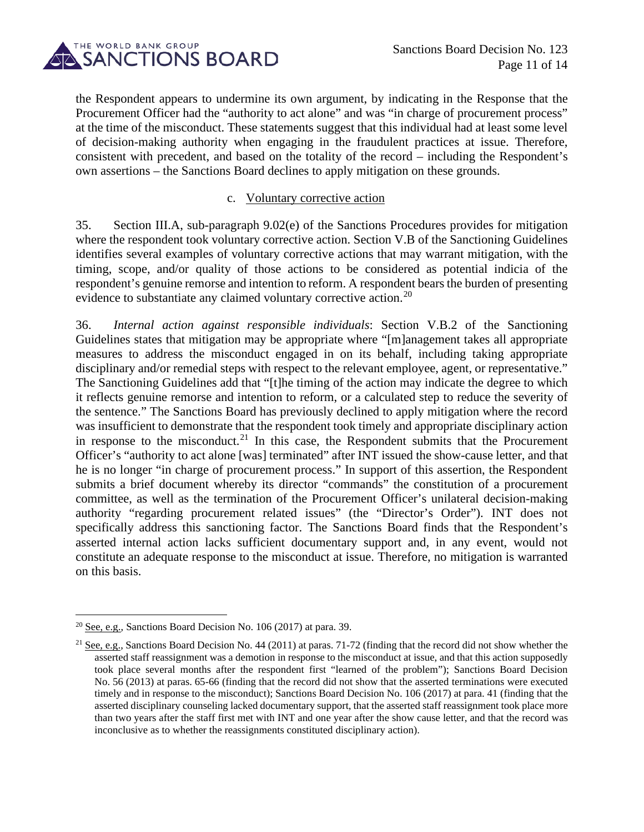

the Respondent appears to undermine its own argument, by indicating in the Response that the Procurement Officer had the "authority to act alone" and was "in charge of procurement process" at the time of the misconduct. These statements suggest that this individual had at least some level of decision-making authority when engaging in the fraudulent practices at issue. Therefore, consistent with precedent, and based on the totality of the record – including the Respondent's own assertions – the Sanctions Board declines to apply mitigation on these grounds.

#### c. Voluntary corrective action

35. Section III.A, sub-paragraph 9.02(e) of the Sanctions Procedures provides for mitigation where the respondent took voluntary corrective action. Section V.B of the Sanctioning Guidelines identifies several examples of voluntary corrective actions that may warrant mitigation, with the timing, scope, and/or quality of those actions to be considered as potential indicia of the respondent's genuine remorse and intention to reform. A respondent bears the burden of presenting evidence to substantiate any claimed voluntary corrective action.<sup>[20](#page-10-0)</sup>

36. *Internal action against responsible individuals*: Section V.B.2 of the Sanctioning Guidelines states that mitigation may be appropriate where "[m]anagement takes all appropriate measures to address the misconduct engaged in on its behalf, including taking appropriate disciplinary and/or remedial steps with respect to the relevant employee, agent, or representative." The Sanctioning Guidelines add that "[t]he timing of the action may indicate the degree to which it reflects genuine remorse and intention to reform, or a calculated step to reduce the severity of the sentence." The Sanctions Board has previously declined to apply mitigation where the record was insufficient to demonstrate that the respondent took timely and appropriate disciplinary action in response to the misconduct.<sup>[21](#page-10-1)</sup> In this case, the Respondent submits that the Procurement Officer's "authority to act alone [was] terminated" after INT issued the show-cause letter, and that he is no longer "in charge of procurement process." In support of this assertion, the Respondent submits a brief document whereby its director "commands" the constitution of a procurement committee, as well as the termination of the Procurement Officer's unilateral decision-making authority "regarding procurement related issues" (the "Director's Order"). INT does not specifically address this sanctioning factor. The Sanctions Board finds that the Respondent's asserted internal action lacks sufficient documentary support and, in any event, would not constitute an adequate response to the misconduct at issue. Therefore, no mitigation is warranted on this basis.

<span id="page-10-0"></span><sup>&</sup>lt;sup>20</sup> See, e.g., Sanctions Board Decision No. 106 (2017) at para. 39.

<span id="page-10-1"></span><sup>&</sup>lt;sup>21</sup> See, e.g., Sanctions Board Decision No. 44 (2011) at paras. 71-72 (finding that the record did not show whether the asserted staff reassignment was a demotion in response to the misconduct at issue, and that this action supposedly took place several months after the respondent first "learned of the problem"); Sanctions Board Decision No. 56 (2013) at paras. 65-66 (finding that the record did not show that the asserted terminations were executed timely and in response to the misconduct); Sanctions Board Decision No. 106 (2017) at para. 41 (finding that the asserted disciplinary counseling lacked documentary support, that the asserted staff reassignment took place more than two years after the staff first met with INT and one year after the show cause letter, and that the record was inconclusive as to whether the reassignments constituted disciplinary action).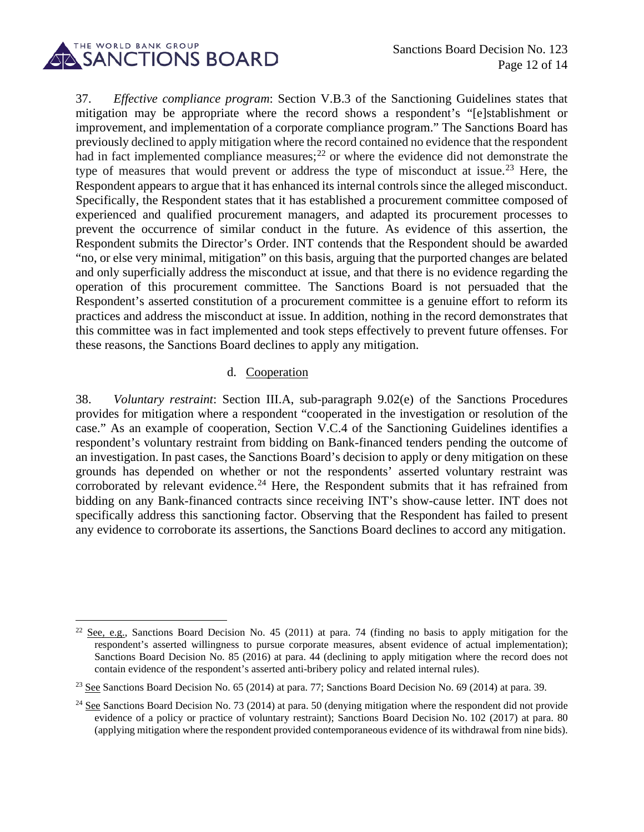

37. *Effective compliance program*: Section V.B.3 of the Sanctioning Guidelines states that mitigation may be appropriate where the record shows a respondent's "[e]stablishment or improvement, and implementation of a corporate compliance program." The Sanctions Board has previously declined to apply mitigation where the record contained no evidence that the respondent had in fact implemented compliance measures;<sup>[22](#page-11-0)</sup> or where the evidence did not demonstrate the type of measures that would prevent or address the type of misconduct at issue.<sup>[23](#page-11-1)</sup> Here, the Respondent appears to argue that it has enhanced its internal controls since the alleged misconduct. Specifically, the Respondent states that it has established a procurement committee composed of experienced and qualified procurement managers, and adapted its procurement processes to prevent the occurrence of similar conduct in the future. As evidence of this assertion, the Respondent submits the Director's Order. INT contends that the Respondent should be awarded "no, or else very minimal, mitigation" on this basis, arguing that the purported changes are belated and only superficially address the misconduct at issue, and that there is no evidence regarding the operation of this procurement committee. The Sanctions Board is not persuaded that the Respondent's asserted constitution of a procurement committee is a genuine effort to reform its practices and address the misconduct at issue. In addition, nothing in the record demonstrates that this committee was in fact implemented and took steps effectively to prevent future offenses. For these reasons, the Sanctions Board declines to apply any mitigation.

#### d. Cooperation

38. *Voluntary restraint*: Section III.A, sub-paragraph 9.02(e) of the Sanctions Procedures provides for mitigation where a respondent "cooperated in the investigation or resolution of the case." As an example of cooperation, Section V.C.4 of the Sanctioning Guidelines identifies a respondent's voluntary restraint from bidding on Bank-financed tenders pending the outcome of an investigation. In past cases, the Sanctions Board's decision to apply or deny mitigation on these grounds has depended on whether or not the respondents' asserted voluntary restraint was corroborated by relevant evidence.<sup>[24](#page-11-2)</sup> Here, the Respondent submits that it has refrained from bidding on any Bank-financed contracts since receiving INT's show-cause letter. INT does not specifically address this sanctioning factor. Observing that the Respondent has failed to present any evidence to corroborate its assertions, the Sanctions Board declines to accord any mitigation.

<span id="page-11-0"></span><sup>&</sup>lt;sup>22</sup> See, e.g., Sanctions Board Decision No. 45 (2011) at para. 74 (finding no basis to apply mitigation for the respondent's asserted willingness to pursue corporate measures, absent evidence of actual implementation); Sanctions Board Decision No. 85 (2016) at para. 44 (declining to apply mitigation where the record does not contain evidence of the respondent's asserted anti-bribery policy and related internal rules).

<span id="page-11-1"></span><sup>&</sup>lt;sup>23</sup> See Sanctions Board Decision No. 65 (2014) at para. 77; Sanctions Board Decision No. 69 (2014) at para. 39.

<span id="page-11-2"></span> $24$  See Sanctions Board Decision No. 73 (2014) at para. 50 (denying mitigation where the respondent did not provide evidence of a policy or practice of voluntary restraint); Sanctions Board Decision No. 102 (2017) at para. 80 (applying mitigation where the respondent provided contemporaneous evidence of its withdrawal from nine bids).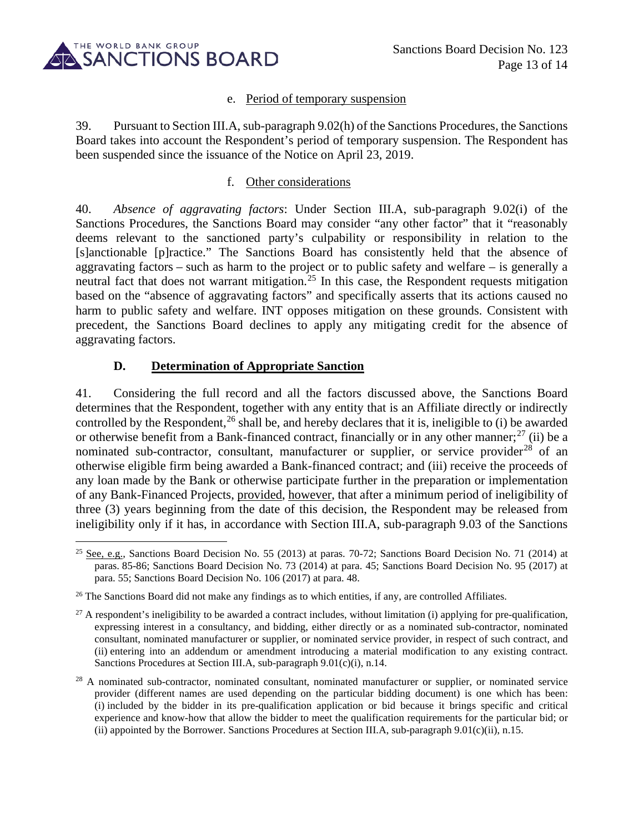

#### e. Period of temporary suspension

39. Pursuant to Section III.A, sub-paragraph 9.02(h) of the Sanctions Procedures, the Sanctions Board takes into account the Respondent's period of temporary suspension. The Respondent has been suspended since the issuance of the Notice on April 23, 2019.

#### f. Other considerations

40. *Absence of aggravating factors*: Under Section III.A, sub-paragraph 9.02(i) of the Sanctions Procedures, the Sanctions Board may consider "any other factor" that it "reasonably deems relevant to the sanctioned party's culpability or responsibility in relation to the [s]anctionable [p]ractice." The Sanctions Board has consistently held that the absence of aggravating factors – such as harm to the project or to public safety and welfare – is generally a neutral fact that does not warrant mitigation.<sup>[25](#page-12-0)</sup> In this case, the Respondent requests mitigation based on the "absence of aggravating factors" and specifically asserts that its actions caused no harm to public safety and welfare. INT opposes mitigation on these grounds. Consistent with precedent, the Sanctions Board declines to apply any mitigating credit for the absence of aggravating factors.

### **D. Determination of Appropriate Sanction**

41. Considering the full record and all the factors discussed above, the Sanctions Board determines that the Respondent, together with any entity that is an Affiliate directly or indirectly controlled by the Respondent,<sup>[26](#page-12-1)</sup> shall be, and hereby declares that it is, ineligible to (i) be awarded or otherwise benefit from a Bank-financed contract, financially or in any other manner;<sup>[27](#page-12-2)</sup> (ii) be a nominated sub-contractor, consultant, manufacturer or supplier, or service provider<sup>[28](#page-12-3)</sup> of an otherwise eligible firm being awarded a Bank-financed contract; and (iii) receive the proceeds of any loan made by the Bank or otherwise participate further in the preparation or implementation of any Bank-Financed Projects, provided, however, that after a minimum period of ineligibility of three (3) years beginning from the date of this decision, the Respondent may be released from ineligibility only if it has, in accordance with Section III.A, sub-paragraph 9.03 of the Sanctions

<span id="page-12-0"></span><sup>&</sup>lt;sup>25</sup> See, e.g., Sanctions Board Decision No. 55 (2013) at paras. 70-72; Sanctions Board Decision No. 71 (2014) at paras. 85-86; Sanctions Board Decision No. 73 (2014) at para. 45; Sanctions Board Decision No. 95 (2017) at para. 55; Sanctions Board Decision No. 106 (2017) at para. 48.

<span id="page-12-1"></span> $26$  The Sanctions Board did not make any findings as to which entities, if any, are controlled Affiliates.

<span id="page-12-2"></span> $^{27}$  A respondent's ineligibility to be awarded a contract includes, without limitation (i) applying for pre-qualification, expressing interest in a consultancy, and bidding, either directly or as a nominated sub-contractor, nominated consultant, nominated manufacturer or supplier, or nominated service provider, in respect of such contract, and (ii) entering into an addendum or amendment introducing a material modification to any existing contract. Sanctions Procedures at Section III.A, sub-paragraph 9.01(c)(i), n.14.

<span id="page-12-3"></span><sup>&</sup>lt;sup>28</sup> A nominated sub-contractor, nominated consultant, nominated manufacturer or supplier, or nominated service provider (different names are used depending on the particular bidding document) is one which has been: (i) included by the bidder in its pre-qualification application or bid because it brings specific and critical experience and know-how that allow the bidder to meet the qualification requirements for the particular bid; or (ii) appointed by the Borrower. Sanctions Procedures at Section III.A, sub-paragraph  $9.01(c)$ (ii), n.15.